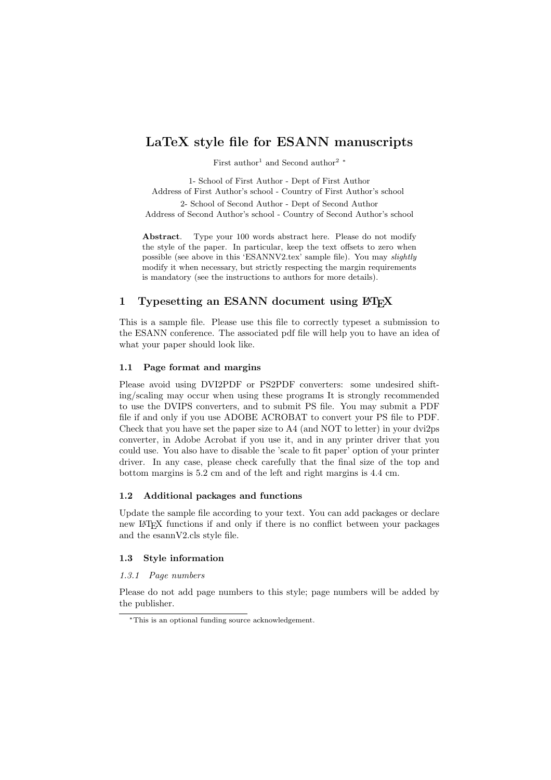# LaTeX style file for ESANN manuscripts

First author<sup>1</sup> and Second author<sup>2</sup> <sup>∗</sup>

1- School of First Author - Dept of First Author Address of First Author's school - Country of First Author's school

2- School of Second Author - Dept of Second Author Address of Second Author's school - Country of Second Author's school

Abstract. Type your 100 words abstract here. Please do not modify the style of the paper. In particular, keep the text offsets to zero when possible (see above in this 'ESANNV2.tex' sample file). You may slightly modify it when necessary, but strictly respecting the margin requirements is mandatory (see the instructions to authors for more details).

## 1 Typesetting an ESANN document using  $\mu_{\text{Tx}}$

This is a sample file. Please use this file to correctly typeset a submission to the ESANN conference. The associated pdf file will help you to have an idea of what your paper should look like.

## 1.1 Page format and margins

Please avoid using DVI2PDF or PS2PDF converters: some undesired shifting/scaling may occur when using these programs It is strongly recommended to use the DVIPS converters, and to submit PS file. You may submit a PDF file if and only if you use ADOBE ACROBAT to convert your PS file to PDF. Check that you have set the paper size to A4 (and NOT to letter) in your dvi2ps converter, in Adobe Acrobat if you use it, and in any printer driver that you could use. You also have to disable the 'scale to fit paper' option of your printer driver. In any case, please check carefully that the final size of the top and bottom margins is 5.2 cm and of the left and right margins is 4.4 cm.

## 1.2 Additional packages and functions

Update the sample file according to your text. You can add packages or declare new LATEX functions if and only if there is no conflict between your packages and the esannV2.cls style file.

## 1.3 Style information

## 1.3.1 Page numbers

Please do not add page numbers to this style; page numbers will be added by the publisher.

<sup>∗</sup>This is an optional funding source acknowledgement.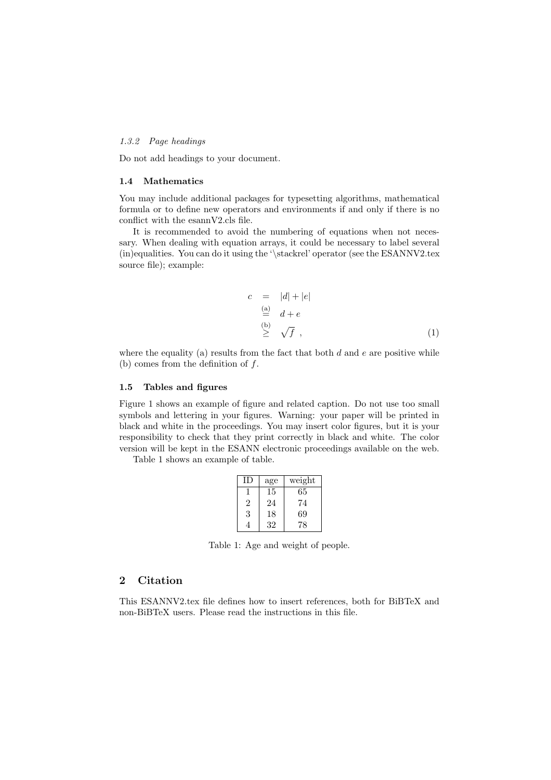#### 1.3.2 Page headings

Do not add headings to your document.

#### 1.4 Mathematics

You may include additional packages for typesetting algorithms, mathematical formula or to define new operators and environments if and only if there is no conflict with the esannV2.cls file.

It is recommended to avoid the numbering of equations when not necessary. When dealing with equation arrays, it could be necessary to label several (in)equalities. You can do it using the '\stackrel' operator (see the ESANNV2.tex source file); example:

$$
c = |d| + |e|
$$
  
\n
$$
\stackrel{\text{(a)}}{=} d + e
$$
  
\n
$$
\stackrel{\text{(b)}}{\geq} \sqrt{f},
$$
  
\n(1)

where the equality (a) results from the fact that both  $d$  and  $e$  are positive while (b) comes from the definition of  $f$ .

#### 1.5 Tables and figures

Figure 1 shows an example of figure and related caption. Do not use too small symbols and lettering in your figures. Warning: your paper will be printed in black and white in the proceedings. You may insert color figures, but it is your responsibility to check that they print correctly in black and white. The color version will be kept in the ESANN electronic proceedings available on the web.

Table 1 shows an example of table.

| Ш              | age | weight |
|----------------|-----|--------|
|                | 15  | 65     |
| $\overline{2}$ | 24  | 74     |
| 3              | 18  | 69     |
|                | 32  | 78     |

Table 1: Age and weight of people.

## 2 Citation

This ESANNV2.tex file defines how to insert references, both for BiBTeX and non-BiBTeX users. Please read the instructions in this file.